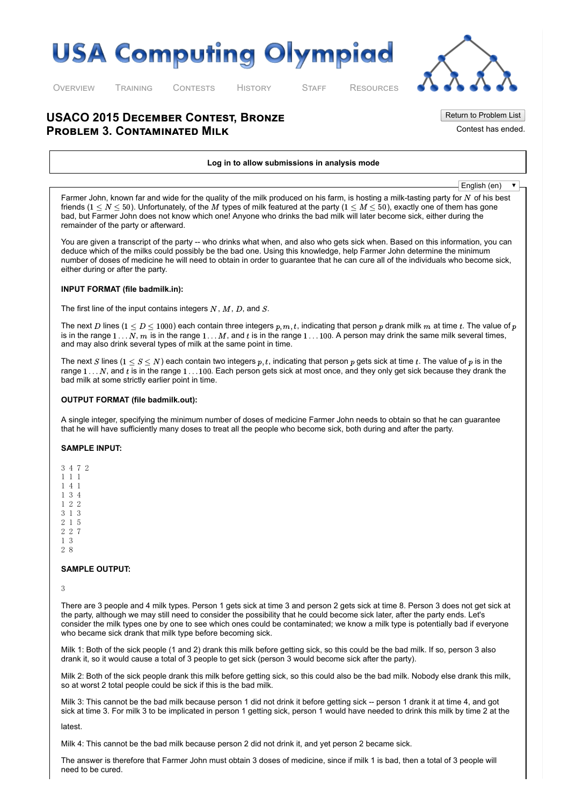# **USA Computing Olympiad**



[O](http://usaco.org/index.php)VERVIEW [T](http://usaco.org/index.php?page=training)RAINING [C](http://usaco.org/index.php?page=contests)ONTESTS [H](http://usaco.org/index.php?page=history)I[S](http://usaco.org/index.php?page=staff)TO[R](http://usaco.org/index.php)Y STAFF RESOURCES

Return to Problem List

Contest has ended.

## **USACO 2015 DECEMBER CONTEST, BRONZE PROBLEM 3. CONTAMINATED MILK**

#### Log in to allow submissions in analysis mode

English (en) $\overline{\mathbf{v}}$ 

Farmer John, known far and wide for the quality of the milk produced on his farm, is hosting a milk-tasting party for  $N$  of his best friends (1  $\leq$   $N$   $\leq$   $50$ ). Unfortunately, of the  $M$  types of milk featured at the party (1  $\leq$   $M$   $\leq$   $50$ ), exactly one of them has gone bad, but Farmer John does not know which one! Anyone who drinks the bad milk will later become sick, either during the remainder of the party or afterward.

You are given a transcript of the party -- who drinks what when, and also who gets sick when. Based on this information, you can deduce which of the milks could possibly be the bad one. Using this knowledge, help Farmer John determine the minimum number of doses of medicine he will need to obtain in order to guarantee that he can cure all of the individuals who become sick, either during or after the party.

### INPUT FORMAT (file badmilk.in):

The first line of the input contains integers  $N, M, D$ , and  $S.$ 

The next  $D$  lines ( $1\le D\le 1000)$  each contain three integers  $p,m,t.$  indicating that person  $p$  drank milk  $m$  at time  $t.$  The value of  $p$ is in the range  $1...N$ ,  $m$  is in the range  $1...M$ , and  $t$  is in the range  $1...100$ . A person may drink the same milk several times, and may also drink several types of milk at the same point in time.

The next  $S$  lines  $(1\leq S\leq N)$  each contain two integers  $p,t.$  indicating that person  $p$  gets sick at time  $t.$  The value of  $p$  is in the range  $1...N$ , and  $t$  is in the range  $1...100$ . Each person gets sick at most once, and they only get sick because they drank the bad milk at some strictly earlier point in time.

### OUTPUT FORMAT (file badmilk.out):

A single integer, specifying the minimum number of doses of medicine Farmer John needs to obtain so that he can guarantee that he will have sufficiently many doses to treat all the people who become sick, both during and after the party.

### SAMPLE INPUT:

2 8

### SAMPLE OUTPUT:

3

There are 3 people and 4 milk types. Person 1 gets sick at time 3 and person 2 gets sick at time 8. Person 3 does not get sick at the party, although we may still need to consider the possibility that he could become sick later, after the party ends. Let's consider the milk types one by one to see which ones could be contaminated; we know a milk type is potentially bad if everyone who became sick drank that milk type before becoming sick.

Milk 1: Both of the sick people (1 and 2) drank this milk before getting sick, so this could be the bad milk. If so, person 3 also drank it, so it would cause a total of 3 people to get sick (person 3 would become sick after the party).

Milk 2: Both of the sick people drank this milk before getting sick, so this could also be the bad milk. Nobody else drank this milk, so at worst 2 total people could be sick if this is the bad milk.

Milk 3: This cannot be the bad milk because person 1 did not drink it before getting sick -- person 1 drank it at time 4, and got sick at time 3. For milk 3 to be implicated in person 1 getting sick, person 1 would have needed to drink this milk by time 2 at the

latest.

Milk 4: This cannot be the bad milk because person 2 did not drink it, and yet person 2 became sick.

The answer is therefore that Farmer John must obtain 3 doses of medicine, since if milk 1 is bad, then a total of 3 people will need to be cured.